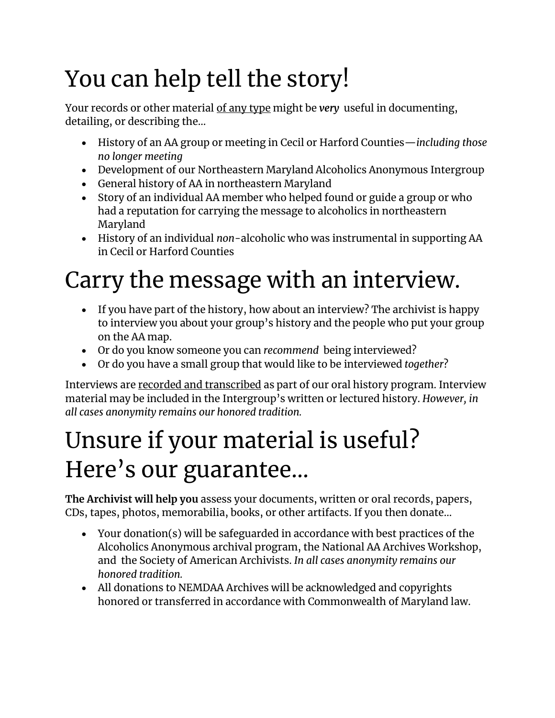# You can help tell the story!

Your records or other material of any type might be *very* useful in documenting, detailing, or describing the…

- History of an AA group or meeting in Cecil or Harford Counties—*including those no longer meeting*
- Development of our Northeastern Maryland Alcoholics Anonymous Intergroup
- General history of AA in northeastern Maryland
- Story of an individual AA member who helped found or guide a group or who had a reputation for carrying the message to alcoholics in northeastern Maryland
- History of an individual *non*-alcoholic who was instrumental in supporting AA in Cecil or Harford Counties

# Carry the message with an interview.

- If you have part of the history, how about an interview? The archivist is happy to interview you about your group's history and the people who put your group on the AA map.
- Or do you know someone you can *recommend* being interviewed?
- Or do you have a small group that would like to be interviewed *together*?

Interviews are recorded and transcribed as part of our oral history program. Interview material may be included in the Intergroup's written or lectured history. *However, in all cases anonymity remains our honored tradition.*

### Unsure if your material is useful? Here's our guarantee…

**The Archivist will help you** assess your documents, written or oral records, papers, CDs, tapes, photos, memorabilia, books, or other artifacts. If you then donate…

- Your donation(s) will be safeguarded in accordance with best practices of the Alcoholics Anonymous archival program, the National AA Archives Workshop, and the Society of American Archivists. *In all cases anonymity remains our honored tradition.*
- All donations to NEMDAA Archives will be acknowledged and copyrights honored or transferred in accordance with Commonwealth of Maryland law.